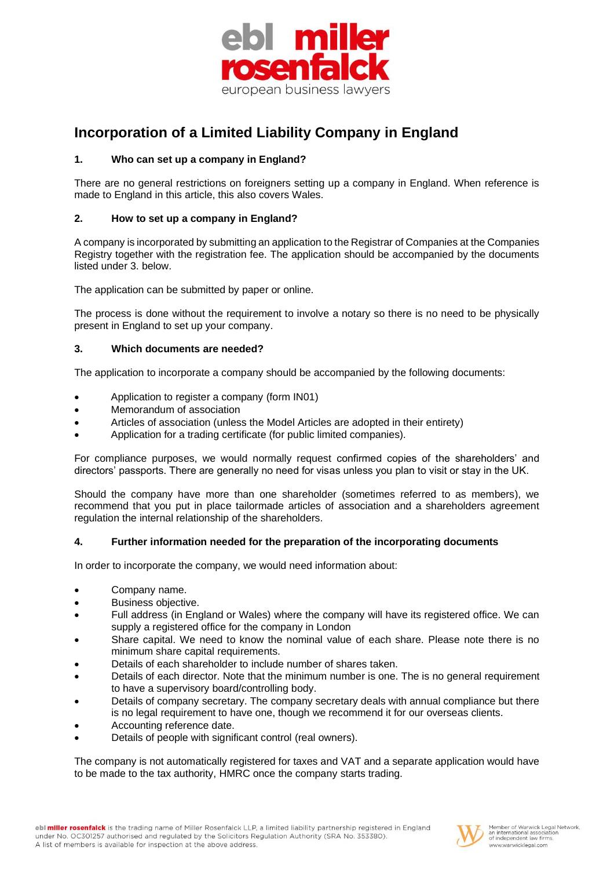

# **Incorporation of a Limited Liability Company in England**

# **1. Who can set up a company in England?**

There are no general restrictions on foreigners setting up a company in England. When reference is made to England in this article, this also covers Wales.

## **2. How to set up a company in England?**

A company is incorporated by submitting an application to the Registrar of Companies at the Companies Registry together with the registration fee. The application should be accompanied by the documents listed under 3. below.

The application can be submitted by paper or online.

The process is done without the requirement to involve a notary so there is no need to be physically present in England to set up your company.

## **3. Which documents are needed?**

The application to incorporate a company should be accompanied by the following documents:

- Application to register a company (form IN01)
- Memorandum of association
- Articles of association (unless the Model Articles are adopted in their entirety)
- Application for a trading certificate (for public limited companies).

For compliance purposes, we would normally request confirmed copies of the shareholders' and directors' passports. There are generally no need for visas unless you plan to visit or stay in the UK.

Should the company have more than one shareholder (sometimes referred to as members), we recommend that you put in place tailormade articles of association and a shareholders agreement regulation the internal relationship of the shareholders.

#### **4. Further information needed for the preparation of the incorporating documents**

In order to incorporate the company, we would need information about:

- Company name.
- Business objective.
- Full address (in England or Wales) where the company will have its registered office. We can supply a registered office for the company in London
- Share capital. We need to know the nominal value of each share. Please note there is no minimum share capital requirements.
- Details of each shareholder to include number of shares taken.
- Details of each director. Note that the minimum number is one. The is no general requirement to have a supervisory board/controlling body.
- Details of company secretary. The company secretary deals with annual compliance but there is no legal requirement to have one, though we recommend it for our overseas clients.
- Accounting reference date.
- Details of people with significant control (real owners).

The company is not automatically registered for taxes and VAT and a separate application would have to be made to the tax authority, HMRC once the company starts trading.